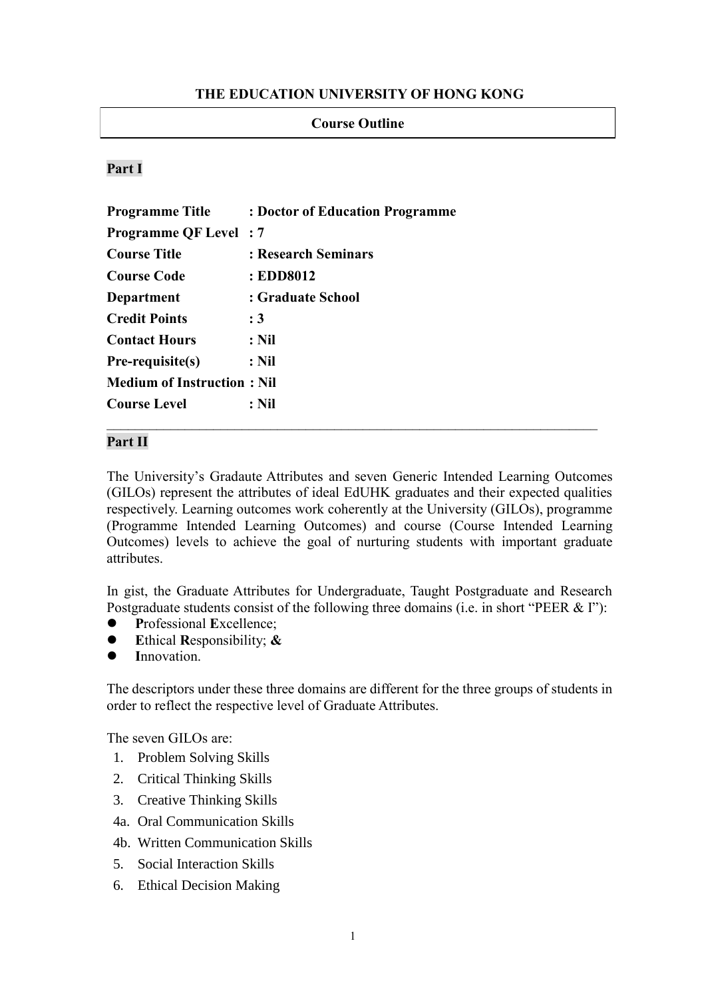#### **THE EDUCATION UNIVERSITY OF HONG KONG**

#### **Course Outline**

#### **Part I**

| <b>Programme Title</b>            | : Doctor of Education Programme |
|-----------------------------------|---------------------------------|
| <b>Programme QF Level: 7</b>      |                                 |
| <b>Course Title</b>               | : Research Seminars             |
| <b>Course Code</b>                | : EDD8012                       |
| <b>Department</b>                 | : Graduate School               |
| <b>Credit Points</b>              | :3                              |
| <b>Contact Hours</b>              | $:$ Nil                         |
| Pre-requisite(s)                  | : Nil                           |
| <b>Medium of Instruction: Nil</b> |                                 |
| <b>Course Level</b>               | $:$ Nil                         |

#### **Part II**

The University's Gradaute Attributes and seven Generic Intended Learning Outcomes (GILOs) represent the attributes of ideal EdUHK graduates and their expected qualities respectively. Learning outcomes work coherently at the University (GILOs), programme (Programme Intended Learning Outcomes) and course (Course Intended Learning Outcomes) levels to achieve the goal of nurturing students with important graduate attributes.

In gist, the Graduate Attributes for Undergraduate, Taught Postgraduate and Research Postgraduate students consist of the following three domains (i.e. in short "PEER & I"):

- **P**rofessional **E**xcellence;
- **E**thical **R**esponsibility; **&**
- **I**nnovation.

The descriptors under these three domains are different for the three groups of students in order to reflect the respective level of Graduate Attributes.

The seven GILOs are:

- 1. Problem Solving Skills
- 2. Critical Thinking Skills
- 3. Creative Thinking Skills
- 4a. Oral Communication Skills
- 4b. Written Communication Skills
- 5. Social Interaction Skills
- 6. Ethical Decision Making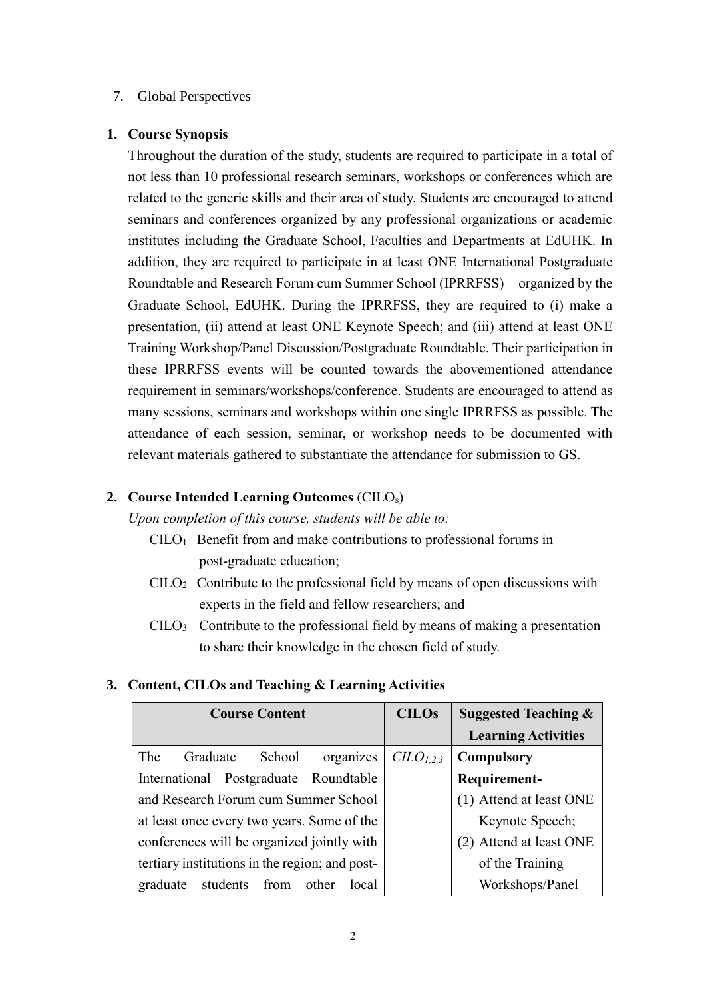#### 7. Global Perspectives

#### **1. Course Synopsis**

Throughout the duration of the study, students are required to participate in a total of not less than 10 professional research seminars, workshops or conferences which are related to the generic skills and their area of study. Students are encouraged to attend seminars and conferences organized by any professional organizations or academic institutes including the Graduate School, Faculties and Departments at EdUHK. In addition, they are required to participate in at least ONE International Postgraduate Roundtable and Research Forum cum Summer School (IPRRFSS) organized by the Graduate School, EdUHK. During the IPRRFSS, they are required to (i) make a presentation, (ii) attend at least ONE Keynote Speech; and (iii) attend at least ONE Training Workshop/Panel Discussion/Postgraduate Roundtable. Their participation in these IPRRFSS events will be counted towards the abovementioned attendance requirement in seminars/workshops/conference. Students are encouraged to attend as many sessions, seminars and workshops within one single IPRRFSS as possible. The attendance of each session, seminar, or workshop needs to be documented with relevant materials gathered to substantiate the attendance for submission to GS.

#### **2. Course Intended Learning Outcomes** (CILOs)

*Upon completion of this course, students will be able to:*

- $CILO<sub>1</sub>$  Benefit from and make contributions to professional forums in post-graduate education;
- $CID_2$  Contribute to the professional field by means of open discussions with experts in the field and fellow researchers; and
- $CILO<sub>3</sub>$  Contribute to the professional field by means of making a presentation to share their knowledge in the chosen field of study.

### **3. Content, CILOs and Teaching & Learning Activities**

| <b>Course Content</b>                          | <b>CILOs</b>  | <b>Suggested Teaching &amp;</b> |  |
|------------------------------------------------|---------------|---------------------------------|--|
|                                                |               | <b>Learning Activities</b>      |  |
| Graduate<br>School<br>The<br>organizes         | $CLO_{1,2,3}$ | <b>Compulsory</b>               |  |
| International Postgraduate Roundtable          |               | Requirement-                    |  |
| and Research Forum cum Summer School           |               | (1) Attend at least ONE         |  |
| at least once every two years. Some of the     |               | Keynote Speech;                 |  |
| conferences will be organized jointly with     |               | (2) Attend at least ONE         |  |
| tertiary institutions in the region; and post- |               | of the Training                 |  |
| students from other<br>local<br>graduate       |               | Workshops/Panel                 |  |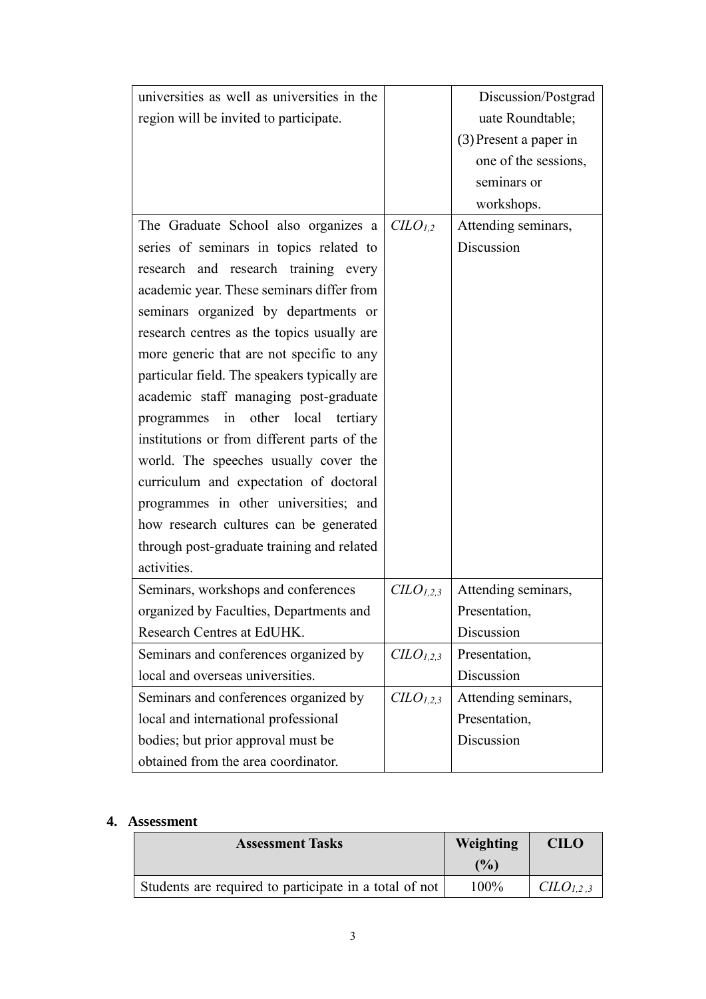| universities as well as universities in the  |                      | Discussion/Postgrad      |  |
|----------------------------------------------|----------------------|--------------------------|--|
| region will be invited to participate.       |                      | uate Roundtable;         |  |
|                                              |                      | $(3)$ Present a paper in |  |
|                                              |                      | one of the sessions,     |  |
|                                              |                      | seminars or              |  |
|                                              |                      | workshops.               |  |
| The Graduate School also organizes a         | CLO <sub>1.2</sub>   | Attending seminars,      |  |
| series of seminars in topics related to      |                      | Discussion               |  |
| research and research training every         |                      |                          |  |
| academic year. These seminars differ from    |                      |                          |  |
| seminars organized by departments or         |                      |                          |  |
| research centres as the topics usually are   |                      |                          |  |
| more generic that are not specific to any    |                      |                          |  |
| particular field. The speakers typically are |                      |                          |  |
| academic staff managing post-graduate        |                      |                          |  |
| programmes in other local tertiary           |                      |                          |  |
| institutions or from different parts of the  |                      |                          |  |
| world. The speeches usually cover the        |                      |                          |  |
| curriculum and expectation of doctoral       |                      |                          |  |
| programmes in other universities; and        |                      |                          |  |
| how research cultures can be generated       |                      |                          |  |
| through post-graduate training and related   |                      |                          |  |
| activities.                                  |                      |                          |  |
| Seminars, workshops and conferences          | $CLO_{1,2,3}$        | Attending seminars,      |  |
| organized by Faculties, Departments and      |                      | Presentation,            |  |
| Research Centres at EdUHK.                   |                      | Discussion               |  |
| Seminars and conferences organized by        | $CLO_{1,2,3}$        | Presentation,            |  |
| local and overseas universities.             |                      | Discussion               |  |
| Seminars and conferences organized by        | CLO <sub>1,2,3</sub> | Attending seminars,      |  |
| local and international professional         |                      | Presentation,            |  |
| bodies; but prior approval must be           |                      | Discussion               |  |
| obtained from the area coordinator.          |                      |                          |  |

#### **4. Assessment**

| <b>Assessment Tasks</b>                                | Weighting      | <b>CILO</b>                       |
|--------------------------------------------------------|----------------|-----------------------------------|
|                                                        | $\frac{10}{2}$ |                                   |
| Students are required to participate in a total of not | 100%           | C <sub>L</sub> O <sub>L,2,3</sub> |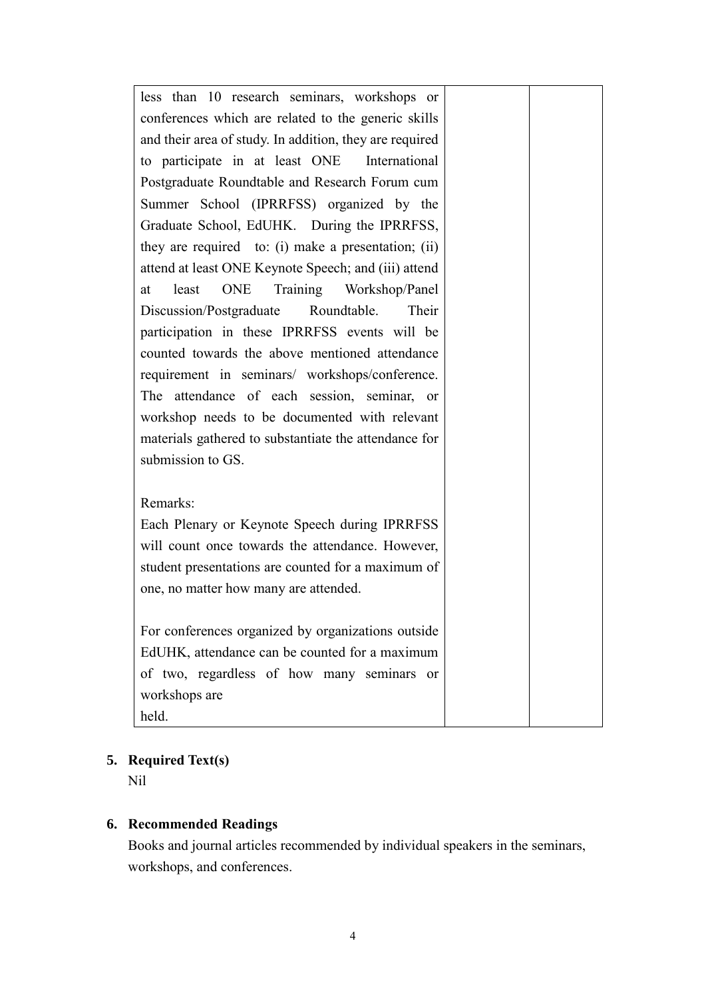| less than 10 research seminars, workshops or            |  |
|---------------------------------------------------------|--|
| conferences which are related to the generic skills     |  |
| and their area of study. In addition, they are required |  |
| to participate in at least ONE International            |  |
| Postgraduate Roundtable and Research Forum cum          |  |
| Summer School (IPRRFSS) organized by the                |  |
| Graduate School, EdUHK. During the IPRRFSS,             |  |
| they are required to: (i) make a presentation; (ii)     |  |
| attend at least ONE Keynote Speech; and (iii) attend    |  |
| ONE<br>Training Workshop/Panel<br>least<br>at           |  |
| Discussion/Postgraduate Roundtable.<br>Their            |  |
| participation in these IPRRFSS events will be           |  |
| counted towards the above mentioned attendance          |  |
| requirement in seminars/ workshops/conference.          |  |
| The attendance of each session, seminar, or             |  |
| workshop needs to be documented with relevant           |  |
| materials gathered to substantiate the attendance for   |  |
| submission to GS.                                       |  |
|                                                         |  |
| Remarks:                                                |  |
| Each Plenary or Keynote Speech during IPRRFSS           |  |
| will count once towards the attendance. However,        |  |
| student presentations are counted for a maximum of      |  |
| one, no matter how many are attended.                   |  |
|                                                         |  |
| For conferences organized by organizations outside      |  |
| EdUHK, attendance can be counted for a maximum          |  |
| of two, regardless of how many seminars or              |  |
| workshops are                                           |  |
| held.                                                   |  |

# **5. Required Text(s)**

Nil

# **6. Recommended Readings**

Books and journal articles recommended by individual speakers in the seminars, workshops, and conferences.